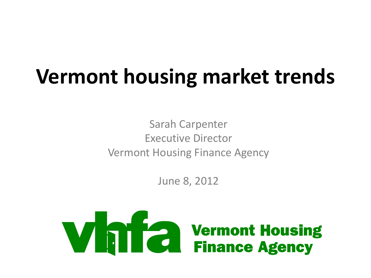## **Vermont housing market trends**

Sarah Carpenter Executive Director Vermont Housing Finance Agency

June 8, 2012

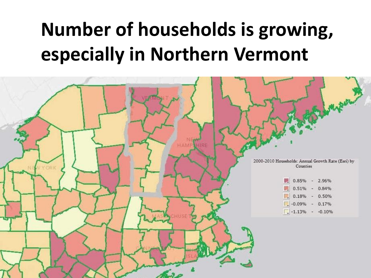#### **Number of households is growing, especially in Northern Vermont**

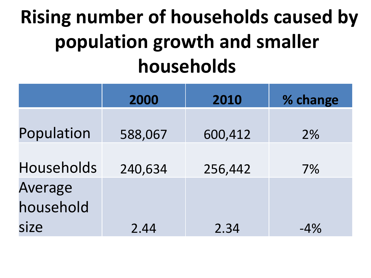#### **Rising number of households caused by population growth and smaller households**

|                      | 2000    | 2010    | % change |
|----------------------|---------|---------|----------|
| Population           | 588,067 | 600,412 | $2\%$    |
| Households           | 240,634 | 256,442 | $7\%$    |
| Average<br>household |         |         |          |
| size                 | 2.44    | 2.34    | $-4%$    |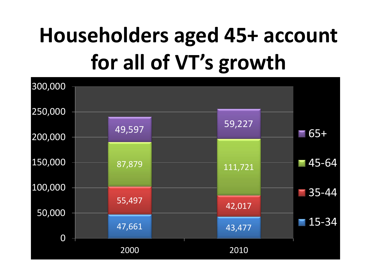# **Householders aged 45+ account for all of VT's growth**

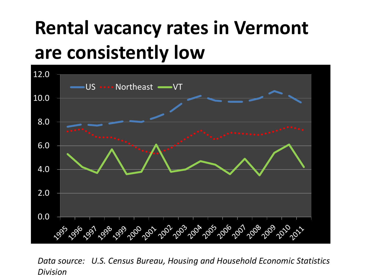#### **Rental vacancy rates in Vermont are consistently low**



*Data source: U.S. Census Bureau, Housing and Household Economic Statistics Division*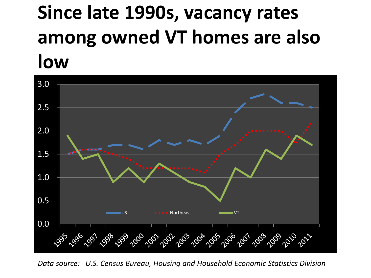#### **Since late 1990s, vacancy rates among owned VT homes are also low**



*Data source: U.S. Census Bureau, Housing and Household Economic Statistics Division*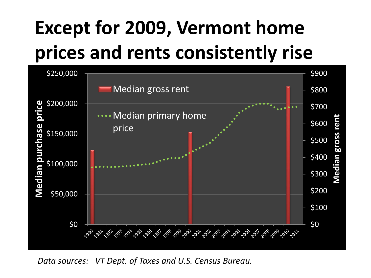## **Except for 2009, Vermont home prices and rents consistently rise**



*Data sources: VT Dept. of Taxes and U.S. Census Bureau.*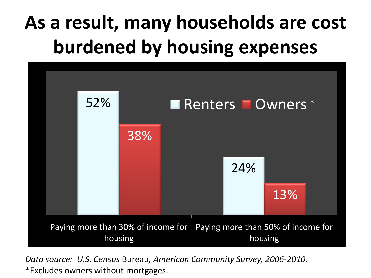#### **As a result, many households are cost burdened by housing expenses**



*Data source: U.S. Census* Bureau*, American Community Survey, 2006-2010*. \*Excludes owners without mortgages.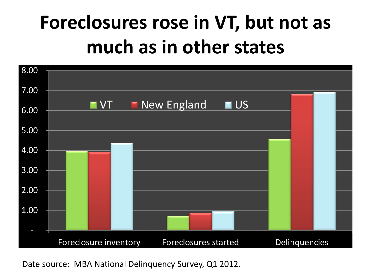#### **Foreclosures rose in VT, but not as much as in other states**



Date source: MBA National Delinquency Survey, Q1 2012.